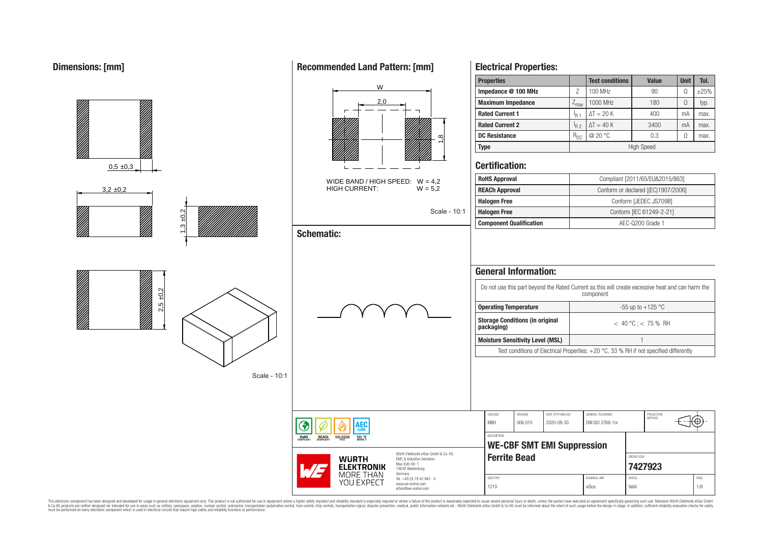**Dimensions: [mm]**



**Recommended Land Pattern: [mm]**

**Electrical Properties:**

This electronic component has been designed and developed for usage in general electronic equipment only. This product is not authorized for use in equipment where a higher safety standard and reliability standard is espec & Ook product a label and the membed of the seasuch as marked and as which such a membed and the such assume that income in the seasuch and the simulation and the such assume that include to the such a membed and the such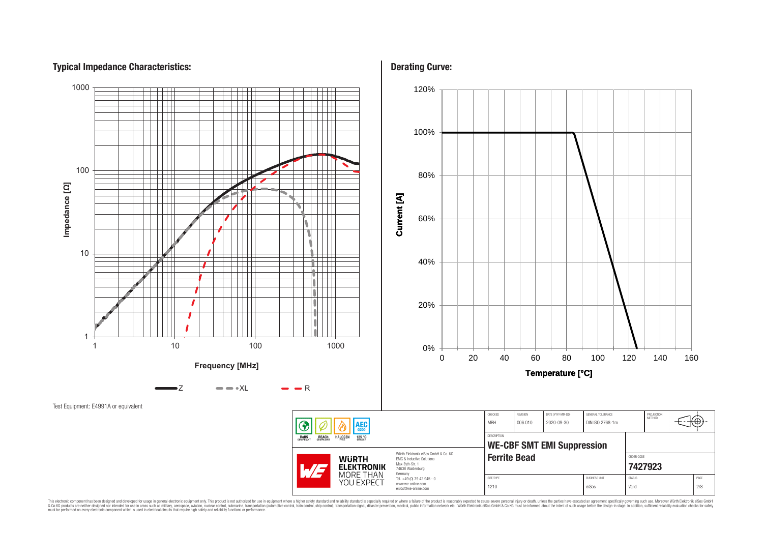# **Typical Impedance Characteristics:**



This electronic component has been designed and developed for usage in general electronic equipment only. This product is not authorized for subserved requipment where a higher selection equipment where a higher selection

**Derating Curve:**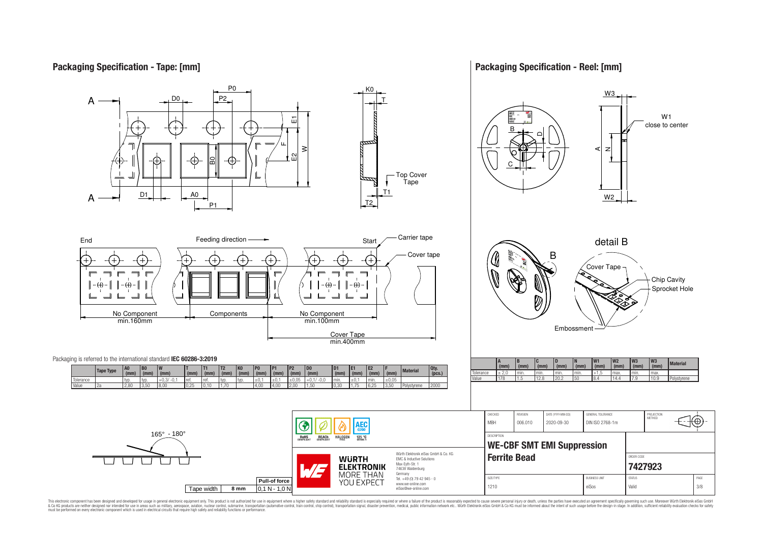# **Packaging Specification - Tape: [mm]**

**Packaging Specification - Reel: [mm]**



This electronic component has been designed and developed for usage in general electronic equipment only. This product is not authorized for use in equipment where a higher safely standard and reliability standard si espec & Ook product a label and the membed of the seasuch as marked and as which such a membed and the such assume that income in the seasuch and the simulation and the such assume that include to the such a membed and the such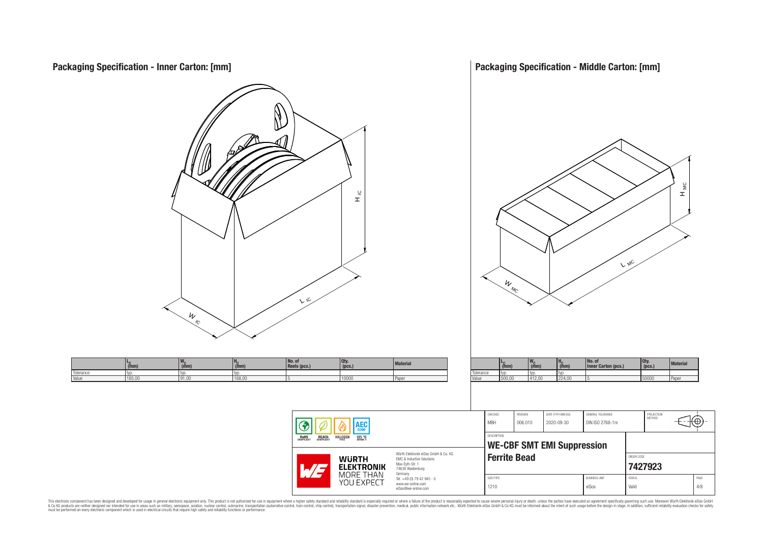

This electronic component has been designed and developed for usage in general electronic equipment only. This product is not authorized for subserved requipment where a higher selection equipment where a higher selection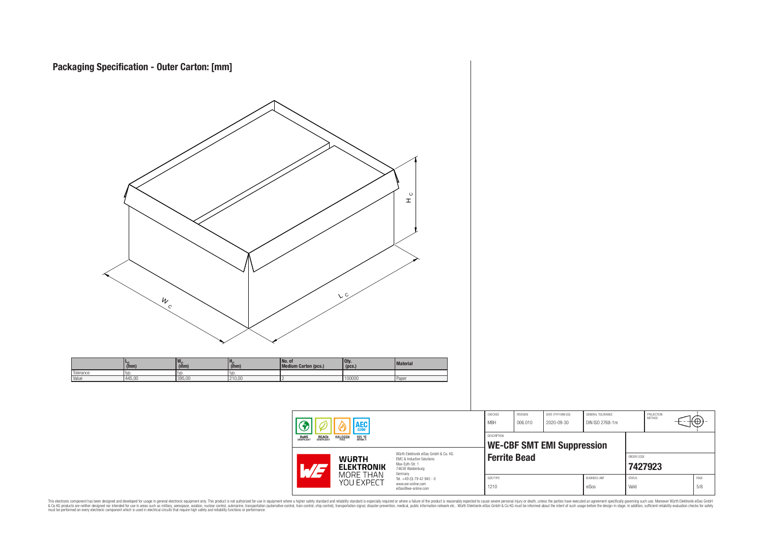| $\frac{W_{c}}{C}$                                                                                                                                 | $\mathop{\mathbb{L}}\limits^{\circ}$<br>V <sub>C</sub>                                                                                                                                                                                                                                    |                                                                                                                                                                    |                                      |                                               |                                       |
|---------------------------------------------------------------------------------------------------------------------------------------------------|-------------------------------------------------------------------------------------------------------------------------------------------------------------------------------------------------------------------------------------------------------------------------------------------|--------------------------------------------------------------------------------------------------------------------------------------------------------------------|--------------------------------------|-----------------------------------------------|---------------------------------------|
| $w_c$ <sub>(mm)</sub><br>$H_C$ <sub>(mm)</sub><br>$L_{\text{C}}$ (mm)<br>Tolerance<br>typ.<br>typ.<br>typ.<br>Value<br>445,00<br>395,00<br>210,00 | No. of<br>Medium Carton (pcs.)<br>Qty.<br>(pcs.)<br>Material<br>100000<br>Paper                                                                                                                                                                                                           |                                                                                                                                                                    |                                      |                                               |                                       |
|                                                                                                                                                   | $  \circledast$<br>AEC <sub>q200</sub><br>ၑ<br><b>ROHS</b><br>COMPLIANT<br>REACH HALOGEN<br>125 °C<br>Würth Elektronik eiSos GmbH & Co. KG<br><b>WÜRTH<br/>ELEKTRONIK</b><br>MORE THAN<br>YOU EXPECT<br>EMC & Inductive Solutions<br>Max-Eyth-Str. 1<br>74638 Waldenburg<br>WE<br>Germany | ${\sf CHECKED}$<br>REVISION<br>DATE (YYYY-MM-DD)<br><b>MBH</b><br>006.010<br>2020-09-30<br>DESCRIPTION<br><b>WE-CBF SMT EMI Suppression</b><br><b>Ferrite Bead</b> | GENERAL TOLERANCE<br>DIN ISO 2768-1m | PROJECTION<br>METHOD<br>ORDER CODE<br>7427923 | 3@                                    |
|                                                                                                                                                   | Tel. +49 (0) 79 42 945 - 0<br>www.we-online.com<br>eiSos@we-online.com                                                                                                                                                                                                                    | SIZE/TYPE<br>1210                                                                                                                                                  | <b>BUSINESS UNIT</b><br>eiSos        | STATUS<br>Valid                               | $\ensuremath{\mathsf{PAGE}}$<br>$5/8$ |

This electronic component has been designed and developed for usage in general electronic equipment only. This product is not authorized for subserved requipment where a higher selection equipment where a higher selection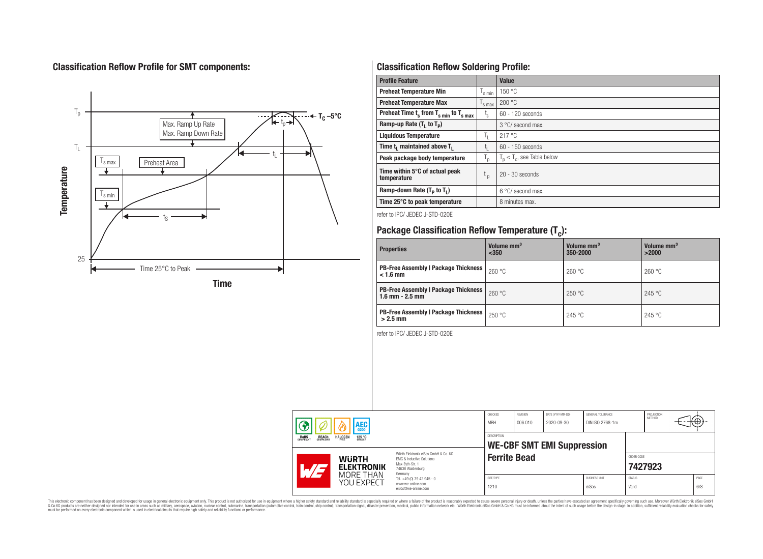# **Classification Reflow Profile for SMT components:**



# **Classification Reflow Soldering Profile:**

| <b>Profile Feature</b>                              |                    | <b>Value</b>                     |
|-----------------------------------------------------|--------------------|----------------------------------|
| <b>Preheat Temperature Min</b>                      | s min              | 150 °C                           |
| <b>Preheat Temperature Max</b>                      | <sup>I</sup> s max | 200 °C                           |
| Preheat Time $t_s$ from $T_{s min}$ to $T_{s max}$  | t,                 | $60 - 120$ seconds               |
| Ramp-up Rate $(T_1$ to $T_p)$                       |                    | $3^{\circ}$ C/ second max.       |
| <b>Liquidous Temperature</b>                        | Ч.                 | 217°C                            |
| Time t <sub>i</sub> maintained above T <sub>1</sub> | t,                 | 60 - 150 seconds                 |
| Peak package body temperature                       | ۱ņ                 | $T_p \leq T_c$ , see Table below |
| Time within 5°C of actual peak<br>temperature       | <sup>L</sup> p     | $20 - 30$ seconds                |
| Ramp-down Rate $(T_p$ to $T_1$ )                    |                    | $6^{\circ}$ C/ second max.       |
| Time 25°C to peak temperature                       |                    | 8 minutes max.                   |

refer to IPC/ JEDEC J-STD-020E

# **Package Classification Reflow Temperature (T<sup>c</sup> ):**

| <b>Properties</b>                                                    | Volume mm <sup>3</sup><br>< 350 | Volume mm <sup>3</sup><br>350-2000 | Volume mm <sup>3</sup><br>>2000 |
|----------------------------------------------------------------------|---------------------------------|------------------------------------|---------------------------------|
| <b>PB-Free Assembly   Package Thickness  </b><br>$< 1.6$ mm          | 260 °C                          | 260 °C                             | 260 °C                          |
| <b>PB-Free Assembly   Package Thickness  </b><br>$1.6$ mm $- 2.5$ mm | 260 °C                          | 250 °C                             | 245 °C                          |
| <b>PB-Free Assembly   Package Thickness  </b><br>$>2.5$ mm           | 250 °C                          | 245 °C                             | 245 °C                          |

refer to IPC/ JEDEC J-STD-020E

| AEC                                                                               |                                                                                                                                                                 | CHECKED<br><b>MBH</b>   | <b>REVISION</b><br>006.010                                             | DATE (YYYY-MM-DD)<br>2020-09-30   | GENERAL TOLERANCE<br>DIN ISO 2768-1m |  | PROJECTION<br>METHOD          | ΨΨ,                    |         |             |
|-----------------------------------------------------------------------------------|-----------------------------------------------------------------------------------------------------------------------------------------------------------------|-------------------------|------------------------------------------------------------------------|-----------------------------------|--------------------------------------|--|-------------------------------|------------------------|---------|-------------|
| <b>HALOGEN</b><br><b>ROHS</b><br>COMPLIANT<br><b>REACH</b><br>COMPLIANT<br>125 °C |                                                                                                                                                                 | DESCRIPTION             |                                                                        | <b>WE-CBF SMT EMI Suppression</b> |                                      |  |                               |                        |         |             |
|                                                                                   | Würth Flektronik eiSos GmbH & Co. KG<br><b>WURTH</b><br><b>EMC &amp; Inductive Solutions</b><br>Max-Eyth-Str. 1<br><b>ELEKTRONIK</b><br>.71<br>74638 Waldenburg |                         | Germany                                                                | <b>Ferrite Bead</b>               |                                      |  |                               | ORDER CODE             | 7427923 |             |
|                                                                                   |                                                                                                                                                                 | MORE THAN<br>YOU EXPECT | Tel. +49 (0) 79 42 945 - 0<br>www.we-online.com<br>eiSos@we-online.com | SIZE/TYPE<br>1210                 |                                      |  | <b>BUSINESS UNIT</b><br>eiSos | <b>STATUS</b><br>Valid |         | PAGE<br>6/8 |

This electronic component has been designed and developed for usage in general electronic equipment only. This product is not authorized for subserved requipment where a higher selection equipment where a higher selection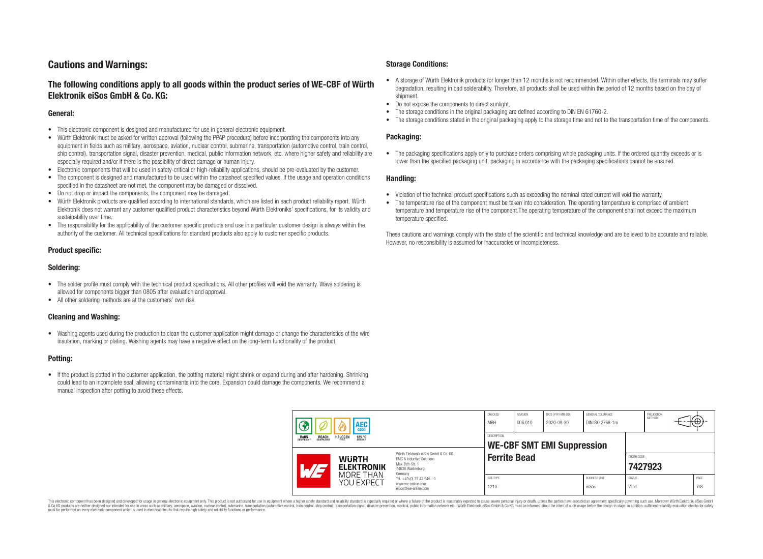# **Cautions and Warnings:**

## **The following conditions apply to all goods within the product series of WE-CBF of Würth Elektronik eiSos GmbH & Co. KG:**

#### **General:**

- This electronic component is designed and manufactured for use in general electronic equipment.
- Würth Elektronik must be asked for written approval (following the PPAP procedure) before incorporating the components into any equipment in fields such as military, aerospace, aviation, nuclear control, submarine, transportation (automotive control, train control, ship control), transportation signal, disaster prevention, medical, public information network, etc. where higher safety and reliability are especially required and/or if there is the possibility of direct damage or human injury.
- Electronic components that will be used in safety-critical or high-reliability applications, should be pre-evaluated by the customer.
- The component is designed and manufactured to be used within the datasheet specified values. If the usage and operation conditions specified in the datasheet are not met, the component may be damaged or dissolved.
- Do not drop or impact the components, the component may be damaged.
- Würth Elektronik products are qualified according to international standards, which are listed in each product reliability report. Würth Elektronik does not warrant any customer qualified product characteristics beyond Würth Elektroniks' specifications, for its validity and sustainability over time.
- The responsibility for the applicability of the customer specific products and use in a particular customer design is always within the authority of the customer. All technical specifications for standard products also apply to customer specific products.

## **Product specific:**

#### **Soldering:**

- The solder profile must comply with the technical product specifications. All other profiles will void the warranty. Wave soldering is allowed for components bigger than 0805 after evaluation and approval.
- All other soldering methods are at the customers' own risk.

## **Cleaning and Washing:**

• Washing agents used during the production to clean the customer application might damage or change the characteristics of the wire insulation, marking or plating. Washing agents may have a negative effect on the long-term functionality of the product.

## **Potting:**

• If the product is potted in the customer application, the potting material might shrink or expand during and after hardening. Shrinking could lead to an incomplete seal, allowing contaminants into the core. Expansion could damage the components. We recommend a manual inspection after potting to avoid these effects.

#### **Storage Conditions:**

- A storage of Würth Elektronik products for longer than 12 months is not recommended. Within other effects, the terminals may suffer degradation, resulting in bad solderability. Therefore, all products shall be used within the period of 12 months based on the day of shipment.
- Do not expose the components to direct sunlight.<br>• The storage conditions in the original packaging
- The storage conditions in the original packaging are defined according to DIN EN 61760-2.
- The storage conditions stated in the original packaging apply to the storage time and not to the transportation time of the components.

#### **Packaging:**

• The packaging specifications apply only to purchase orders comprising whole packaging units. If the ordered quantity exceeds or is lower than the specified packaging unit, packaging in accordance with the packaging specifications cannot be ensured.

#### **Handling:**

- Violation of the technical product specifications such as exceeding the nominal rated current will void the warranty.
- The temperature rise of the component must be taken into consideration. The operating temperature is comprised of ambient temperature and temperature rise of the component.The operating temperature of the component shall not exceed the maximum temperature specified.

These cautions and warnings comply with the state of the scientific and technical knowledge and are believed to be accurate and reliable. However, no responsibility is assumed for inaccuracies or incompleteness.

| AEC<br><b>REACH</b><br>COMPLIANT<br>ROHS<br>COMPLIANT<br><b>HALOGEN</b><br>125 °C<br>GRADE 1                                                             |                         | CHECKED<br><b>MBH</b>                                                             | REVISION<br>006.010 | DATE (YYYY-MM-DD)<br>2020-09-30 | GENERAL TOLERANCE<br>DIN ISO 2768-1m |                               | PROJECTION<br>METHOD   |  | ₩ |             |
|----------------------------------------------------------------------------------------------------------------------------------------------------------|-------------------------|-----------------------------------------------------------------------------------|---------------------|---------------------------------|--------------------------------------|-------------------------------|------------------------|--|---|-------------|
|                                                                                                                                                          |                         | <b>DESCRIPTION</b><br><b>WE-CBF SMT EMI Suppression</b>                           |                     |                                 |                                      |                               |                        |  |   |             |
| Würth Elektronik eiSos GmbH & Co. KG<br><b>WURTH</b><br><b>EMC &amp; Inductive Solutions</b><br>Max-Eyth-Str. 1<br><b>ELEKTRONIK</b><br>74638 Waldenburg |                         | <b>Ferrite Bead</b>                                                               |                     |                                 |                                      | ORDER CODE                    | 7427923                |  |   |             |
|                                                                                                                                                          | MORE THAN<br>YOU EXPECT | Germany<br>Tel. +49 (0) 79 42 945 - 0<br>www.we-online.com<br>eiSos@we-online.com | SIZE/TYPE<br>1210   |                                 |                                      | <b>BUSINESS UNIT</b><br>eiSos | <b>STATUS</b><br>Valid |  |   | PAGE<br>7/8 |

This electronic component has been designed and developed for usage in general electronic equipment only. This product is not authorized for use in equipment where a higher safety standard and reliability standard si espec & Ook product a label and the membed of the seasuch as marked and as which such a membed and the such assume that income in the seasuch and the simulation and the such assume that include to the such a membed and the such